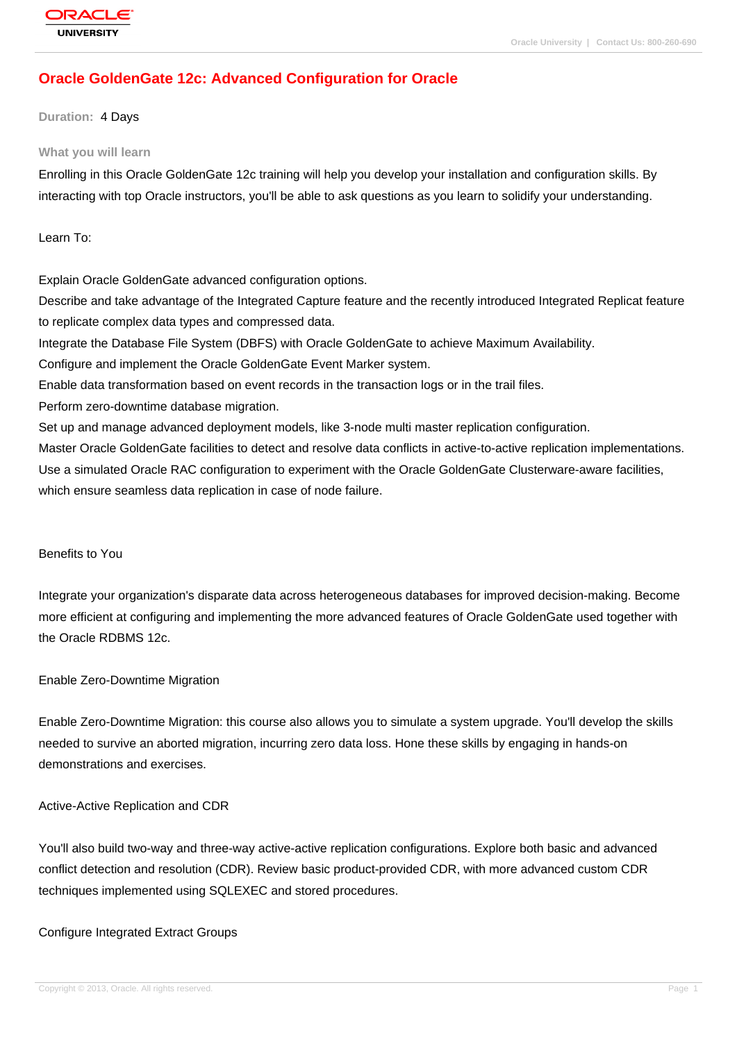# **[Oracle Golden](http://education.oracle.com/pls/web_prod-plq-dad/db_pages.getpage?page_id=3)Gate 12c: Advanced Configuration for Oracle**

### **Duration:** 4 Days

#### **What you will learn**

Enrolling in this Oracle GoldenGate 12c training will help you develop your installation and configuration skills. By interacting with top Oracle instructors, you'll be able to ask questions as you learn to solidify your understanding.

Learn To:

Explain Oracle GoldenGate advanced configuration options.

Describe and take advantage of the Integrated Capture feature and the recently introduced Integrated Replicat feature to replicate complex data types and compressed data.

Integrate the Database File System (DBFS) with Oracle GoldenGate to achieve Maximum Availability.

Configure and implement the Oracle GoldenGate Event Marker system.

Enable data transformation based on event records in the transaction logs or in the trail files.

Perform zero-downtime database migration.

Set up and manage advanced deployment models, like 3-node multi master replication configuration.

Master Oracle GoldenGate facilities to detect and resolve data conflicts in active-to-active replication implementations. Use a simulated Oracle RAC configuration to experiment with the Oracle GoldenGate Clusterware-aware facilities, which ensure seamless data replication in case of node failure.

### Benefits to You

Integrate your organization's disparate data across heterogeneous databases for improved decision-making. Become more efficient at configuring and implementing the more advanced features of Oracle GoldenGate used together with the Oracle RDBMS 12c.

#### Enable Zero-Downtime Migration

Enable Zero-Downtime Migration: this course also allows you to simulate a system upgrade. You'll develop the skills needed to survive an aborted migration, incurring zero data loss. Hone these skills by engaging in hands-on demonstrations and exercises.

#### Active-Active Replication and CDR

You'll also build two-way and three-way active-active replication configurations. Explore both basic and advanced conflict detection and resolution (CDR). Review basic product-provided CDR, with more advanced custom CDR techniques implemented using SQLEXEC and stored procedures.

### Configure Integrated Extract Groups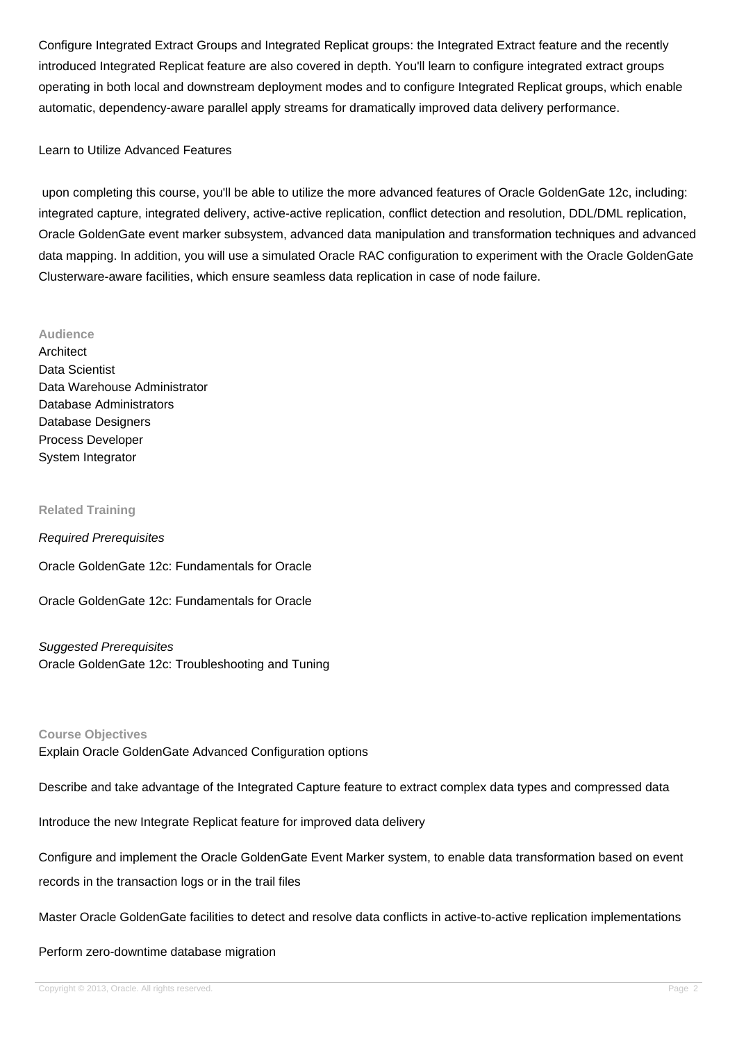Configure Integrated Extract Groups and Integrated Replicat groups: the Integrated Extract feature and the recently introduced Integrated Replicat feature are also covered in depth. You'll learn to configure integrated extract groups operating in both local and downstream deployment modes and to configure Integrated Replicat groups, which enable automatic, dependency-aware parallel apply streams for dramatically improved data delivery performance.

### Learn to Utilize Advanced Features

 upon completing this course, you'll be able to utilize the more advanced features of Oracle GoldenGate 12c, including: integrated capture, integrated delivery, active-active replication, conflict detection and resolution, DDL/DML replication, Oracle GoldenGate event marker subsystem, advanced data manipulation and transformation techniques and advanced data mapping. In addition, you will use a simulated Oracle RAC configuration to experiment with the Oracle GoldenGate Clusterware-aware facilities, which ensure seamless data replication in case of node failure.

#### **Audience**

**Architect** Data Scientist Data Warehouse Administrator Database Administrators Database Designers Process Developer System Integrator

#### **Related Training**

Required Prerequisites

Oracle GoldenGate 12c: Fundamentals for Oracle

Oracle GoldenGate 12c: Fundamentals for Oracle

#### Suggested Prerequisites

Oracle GoldenGate 12c: Troubleshooting and Tuning

#### **Course Objectives**

Explain Oracle GoldenGate Advanced Configuration options

Describe and take advantage of the Integrated Capture feature to extract complex data types and compressed data

Introduce the new Integrate Replicat feature for improved data delivery

Configure and implement the Oracle GoldenGate Event Marker system, to enable data transformation based on event records in the transaction logs or in the trail files

Master Oracle GoldenGate facilities to detect and resolve data conflicts in active-to-active replication implementations

Perform zero-downtime database migration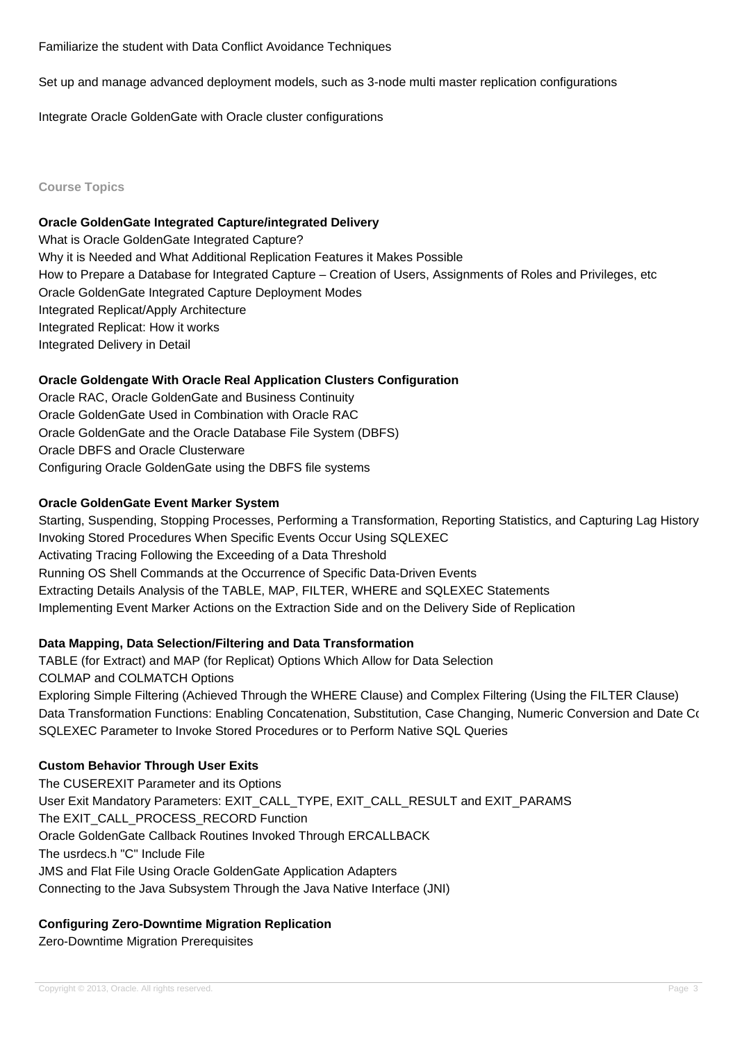Set up and manage advanced deployment models, such as 3-node multi master replication configurations

Integrate Oracle GoldenGate with Oracle cluster configurations

### **Course Topics**

### **Oracle GoldenGate Integrated Capture/integrated Delivery**

What is Oracle GoldenGate Integrated Capture? Why it is Needed and What Additional Replication Features it Makes Possible How to Prepare a Database for Integrated Capture – Creation of Users, Assignments of Roles and Privileges, etc Oracle GoldenGate Integrated Capture Deployment Modes Integrated Replicat/Apply Architecture Integrated Replicat: How it works Integrated Delivery in Detail

### **Oracle Goldengate With Oracle Real Application Clusters Configuration**

Oracle RAC, Oracle GoldenGate and Business Continuity Oracle GoldenGate Used in Combination with Oracle RAC Oracle GoldenGate and the Oracle Database File System (DBFS) Oracle DBFS and Oracle Clusterware Configuring Oracle GoldenGate using the DBFS file systems

### **Oracle GoldenGate Event Marker System**

Starting, Suspending, Stopping Processes, Performing a Transformation, Reporting Statistics, and Capturing Lag History Invoking Stored Procedures When Specific Events Occur Using SQLEXEC Activating Tracing Following the Exceeding of a Data Threshold Running OS Shell Commands at the Occurrence of Specific Data-Driven Events Extracting Details Analysis of the TABLE, MAP, FILTER, WHERE and SQLEXEC Statements Implementing Event Marker Actions on the Extraction Side and on the Delivery Side of Replication

## **Data Mapping, Data Selection/Filtering and Data Transformation**

TABLE (for Extract) and MAP (for Replicat) Options Which Allow for Data Selection COLMAP and COLMATCH Options Exploring Simple Filtering (Achieved Through the WHERE Clause) and Complex Filtering (Using the FILTER Clause) Data Transformation Functions: Enabling Concatenation, Substitution, Case Changing, Numeric Conversion and Date Co SQLEXEC Parameter to Invoke Stored Procedures or to Perform Native SQL Queries

## **Custom Behavior Through User Exits**

The CUSEREXIT Parameter and its Options User Exit Mandatory Parameters: EXIT\_CALL\_TYPE, EXIT\_CALL\_RESULT and EXIT\_PARAMS The EXIT\_CALL\_PROCESS\_RECORD Function Oracle GoldenGate Callback Routines Invoked Through ERCALLBACK The usrdecs.h "C" Include File JMS and Flat File Using Oracle GoldenGate Application Adapters Connecting to the Java Subsystem Through the Java Native Interface (JNI)

## **Configuring Zero-Downtime Migration Replication**

Zero-Downtime Migration Prerequisites